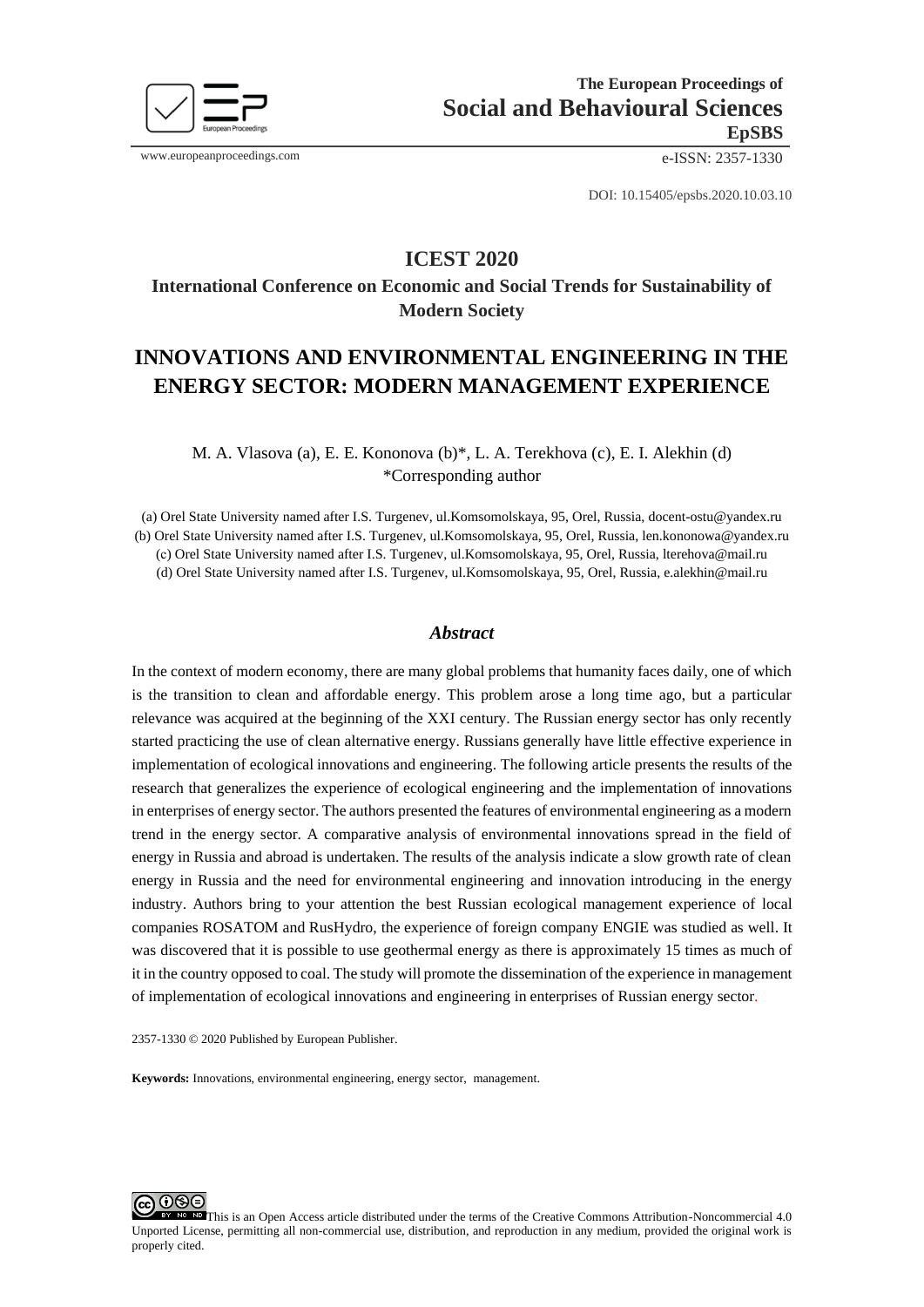

www.europeanproceedings.com e-ISSN: 2357-1330

DOI: 10.15405/epsbs.2020.10.03.10

## **ICEST 2020**

# **International Conference on Economic and Social Trends for Sustainability of Modern Society**

# **INNOVATIONS AND ENVIRONMENTAL ENGINEERING IN THE ENERGY SECTOR: MODERN MANAGEMENT EXPERIENCE**

M. A. Vlasova (a), E. E. Kononova (b)\*, L. A. Terekhova (c), E. I. Alekhin (d) \*Corresponding author

(a) Orel State University named after I.S. Turgenev, ul.Komsomolskaya, 95, Orel, Russia, docent-ostu@yandex.ru (b) Orel State University named after I.S. Turgenev, ul.Komsomolskaya, 95, Orel, Russia, len.kononowa@yandex.ru (с) Orel State University named after I.S. Turgenev, ul.Komsomolskaya, 95, Orel, Russia, lterehova@mail.ru (d) Orel State University named after I.S. Turgenev, ul.Komsomolskaya, 95, Orel, Russia, e.alekhin@mail.ru

## *Abstract*

In the context of modern economy, there are many global problems that humanity faces daily, one of which is the transition to clean and affordable energy. This problem arose a long time ago, but a particular relevance was acquired at the beginning of the XXI century. The Russian energy sector has only recently started practicing the use of clean alternative energy. Russians generally have little effective experience in implementation of ecological innovations and engineering. The following article presents the results of the research that generalizes the experience of ecological engineering and the implementation of innovations in enterprises of energy sector. The authors presented the features of environmental engineering as a modern trend in the energy sector. A comparative analysis of environmental innovations spread in the field of energy in Russia and abroad is undertaken. The results of the analysis indicate a slow growth rate of clean energy in Russia and the need for environmental engineering and innovation introducing in the energy industry. Authors bring to your attention the best Russian ecological management experience of local companies ROSATOM and RusHydro, the experience of foreign company ENGIE was studied as well. It was discovered that it is possible to use geothermal energy as there is approximately 15 times as much of it in the country opposed to coal. The study will promote the dissemination of the experience in management of implementation of ecological innovations and engineering in enterprises of Russian energy sector.

2357-1330 © 2020 Published by European Publisher.

**Keywords:** Innovations, environmental engineering, energy sector, management.



This is an Open Access article distributed under the terms of the Creative Commons Attribution-Noncommercial 4.0 Unported License, permitting all non-commercial use, distribution, and reproduction in any medium, provided the original work is properly cited.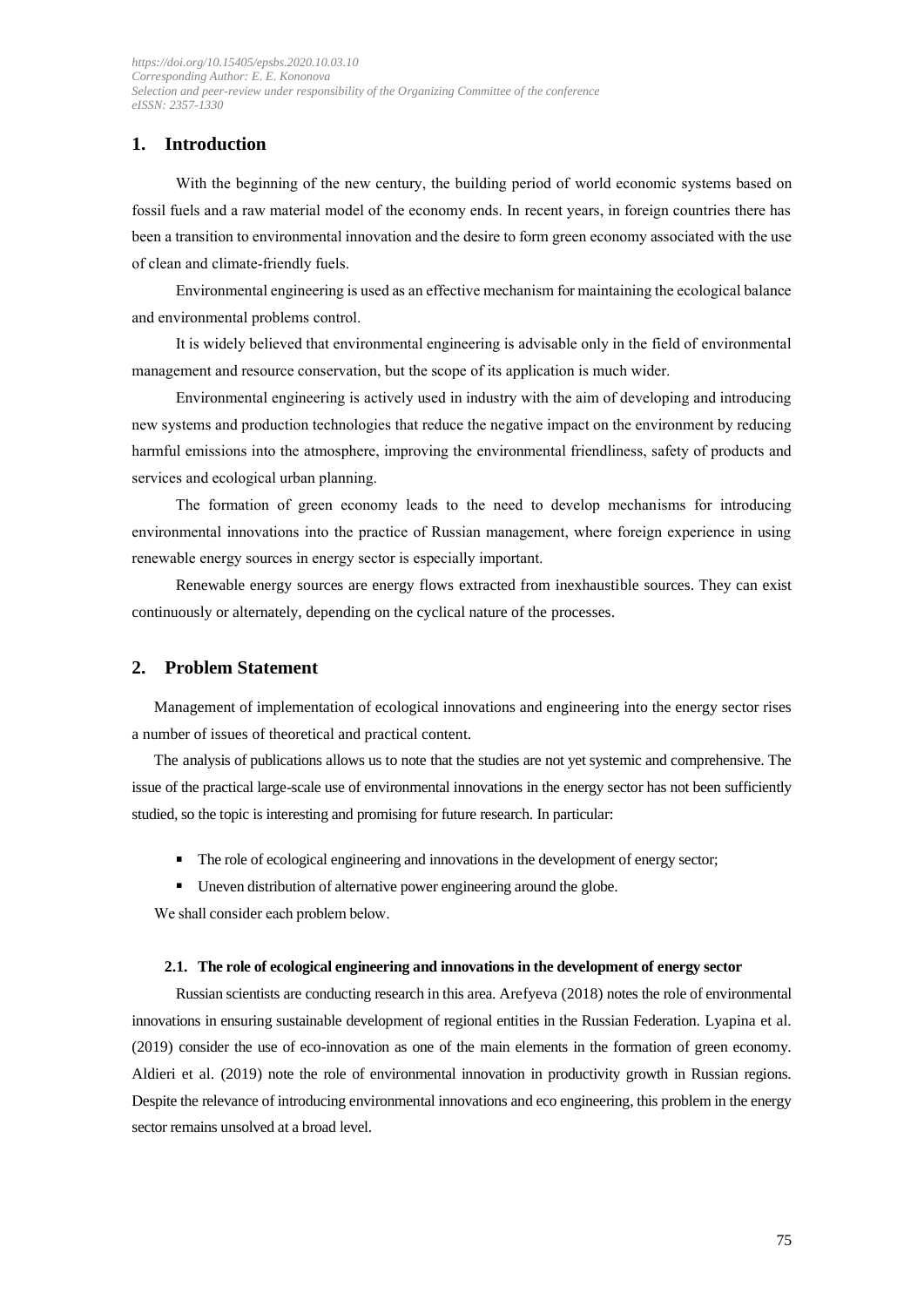## **1. Introduction**

With the beginning of the new century, the building period of world economic systems based on fossil fuels and a raw material model of the economy ends. In recent years, in foreign countries there has been a transition to environmental innovation and the desire to form green economy associated with the use of clean and climate-friendly fuels.

Environmental engineering is used as an effective mechanism for maintaining the ecological balance and environmental problems control.

It is widely believed that environmental engineering is advisable only in the field of environmental management and resource conservation, but the scope of its application is much wider.

Environmental engineering is actively used in industry with the aim of developing and introducing new systems and production technologies that reduce the negative impact on the environment by reducing harmful emissions into the atmosphere, improving the environmental friendliness, safety of products and services and ecological urban planning.

The formation of green economy leads to the need to develop mechanisms for introducing environmental innovations into the practice of Russian management, where foreign experience in using renewable energy sources in energy sector is especially important.

Renewable energy sources are energy flows extracted from inexhaustible sources. They can exist continuously or alternately, depending on the cyclical nature of the processes.

## **2. Problem Statement**

Management of implementation of ecological innovations and engineering into the energy sector rises a number of issues of theoretical and practical content.

The analysis of publications allows us to note that the studies are not yet systemic and comprehensive. The issue of the practical large-scale use of environmental innovations in the energy sector has not been sufficiently studied, so the topic is interesting and promising for future research. In particular:

- The role of ecological engineering and innovations in the development of energy sector;
- Uneven distribution of alternative power engineering around the globe.

We shall consider each problem below.

#### **2.1. The role of ecological engineering and innovations in the development of energy sector**

Russian scientists are conducting research in this area. Arefyeva (2018) notes the role of environmental innovations in ensuring sustainable development of regional entities in the Russian Federation. Lyapina et al. (2019) consider the use of eco-innovation as one of the main elements in the formation of green economy. Aldieri et al. (2019) note the role of environmental innovation in productivity growth in Russian regions. Despite the relevance of introducing environmental innovations and eco engineering, this problem in the energy sector remains unsolved at a broad level.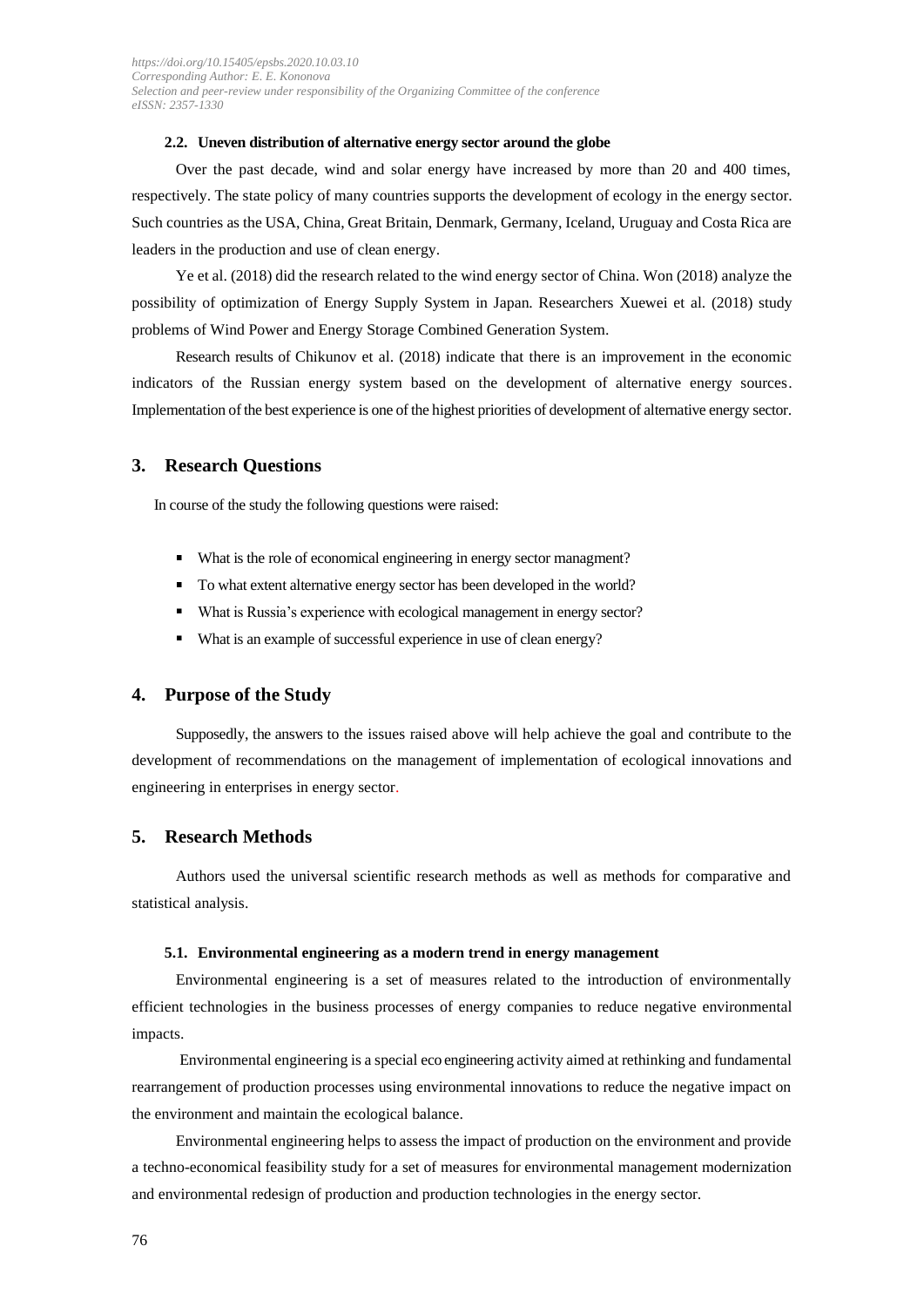#### **2.2. Uneven distribution of alternative energy sector around the globe**

Over the past decade, wind and solar energy have increased by more than 20 and 400 times, respectively. The state policy of many countries supports the development of ecology in the energy sector. Such countries as the USA, China, Great Britain, Denmark, Germany, Iceland, Uruguay and Costa Rica are leaders in the production and use of clean energy.

Ye et al. (2018) did the research related to the wind energy sector of China. Won (2018) analyze the possibility of optimization of Energy Supply System in Japan. Researchers Xuewei et al. (2018) study problems of Wind Power and Energy Storage Combined Generation System.

Research results of Chikunov et al. (2018) indicate that there is an improvement in the economic indicators of the Russian energy system based on the development of alternative energy sources. Implementation of the best experience is one of the highest priorities of development of alternative energy sector.

## **3. Research Questions**

In course of the study the following questions were raised:

- What is the role of economical engineering in energy sector managment?
- To what extent alternative energy sector has been developed in the world?
- What is Russia's experience with ecological management in energy sector?
- What is an example of successful experience in use of clean energy?

#### **4. Purpose of the Study**

Supposedly, the answers to the issues raised above will help achieve the goal and contribute to the development of recommendations on the management of implementation of ecological innovations and engineering in enterprises in energy sector.

#### **5. Research Methods**

Authors used the universal scientific research methods as well as methods for comparative and statistical analysis.

#### **5.1. Environmental engineering as a modern trend in energy management**

Environmental engineering is a set of measures related to the introduction of environmentally efficient technologies in the business processes of energy companies to reduce negative environmental impacts.

Environmental engineering is a special eco engineering activity aimed at rethinking and fundamental rearrangement of production processes using environmental innovations to reduce the negative impact on the environment and maintain the ecological balance.

Environmental engineering helps to assess the impact of production on the environment and provide a techno-economical feasibility study for a set of measures for environmental management modernization and environmental redesign of production and production technologies in the energy sector.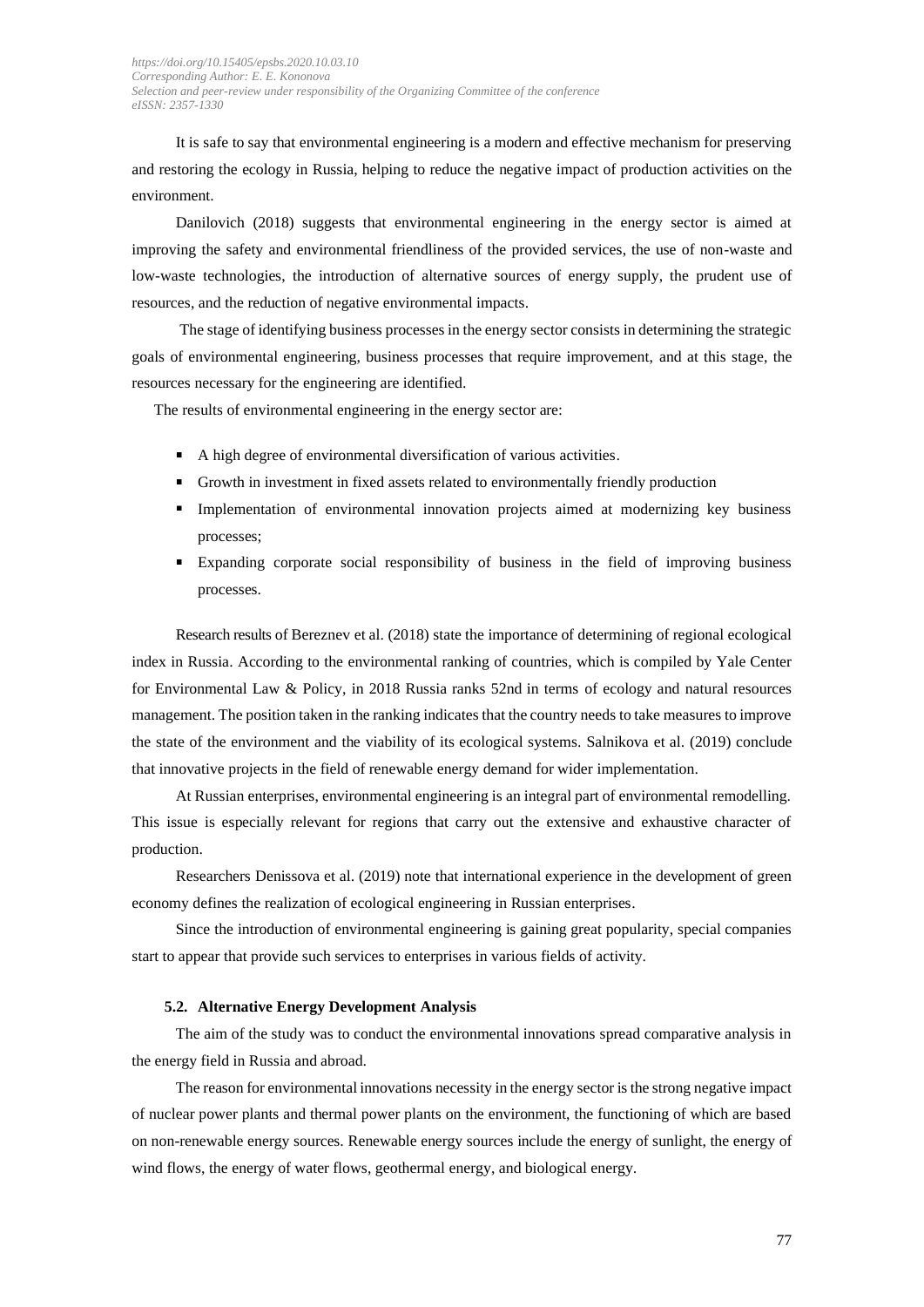It is safe to say that environmental engineering is a modern and effective mechanism for preserving and restoring the ecology in Russia, helping to reduce the negative impact of production activities on the environment.

Danilovich (2018) suggests that environmental engineering in the energy sector is aimed at improving the safety and environmental friendliness of the provided services, the use of non-waste and low-waste technologies, the introduction of alternative sources of energy supply, the prudent use of resources, and the reduction of negative environmental impacts.

The stage of identifying business processes in the energy sector consists in determining the strategic goals of environmental engineering, business processes that require improvement, and at this stage, the resources necessary for the engineering are identified.

The results of environmental engineering in the energy sector are:

- A high degree of environmental diversification of various activities.
- Growth in investment in fixed assets related to environmentally friendly production
- Implementation of environmental innovation projects aimed at modernizing key business processes;
- Expanding corporate social responsibility of business in the field of improving business processes.

Research results of Bereznev et al. (2018) state the importance of determining of regional ecological index in Russia. According to the environmental ranking of countries, which is compiled by Yale Center for Environmental Law & Policy, in 2018 Russia ranks 52nd in terms of ecology and natural resources management. The position taken in the ranking indicates that the country needs to take measures to improve the state of the environment and the viability of its ecological systems. Salnikova et al. (2019) conclude that innovative projects in the field of renewable energy demand for wider implementation.

At Russian enterprises, environmental engineering is an integral part of environmental remodelling. This issue is especially relevant for regions that carry out the extensive and exhaustive character of production.

Researchers Denissova et al. (2019) note that international experience in the development of green economy defines the realization of ecological engineering in Russian enterprises.

Since the introduction of environmental engineering is gaining great popularity, special companies start to appear that provide such services to enterprises in various fields of activity.

#### **5.2. Alternative Energy Development Analysis**

The aim of the study was to conduct the environmental innovations spread comparative analysis in the energy field in Russia and abroad.

The reason for environmental innovations necessity in the energy sector is the strong negative impact of nuclear power plants and thermal power plants on the environment, the functioning of which are based on non-renewable energy sources. Renewable energy sources include the energy of sunlight, the energy of wind flows, the energy of water flows, geothermal energy, and biological energy.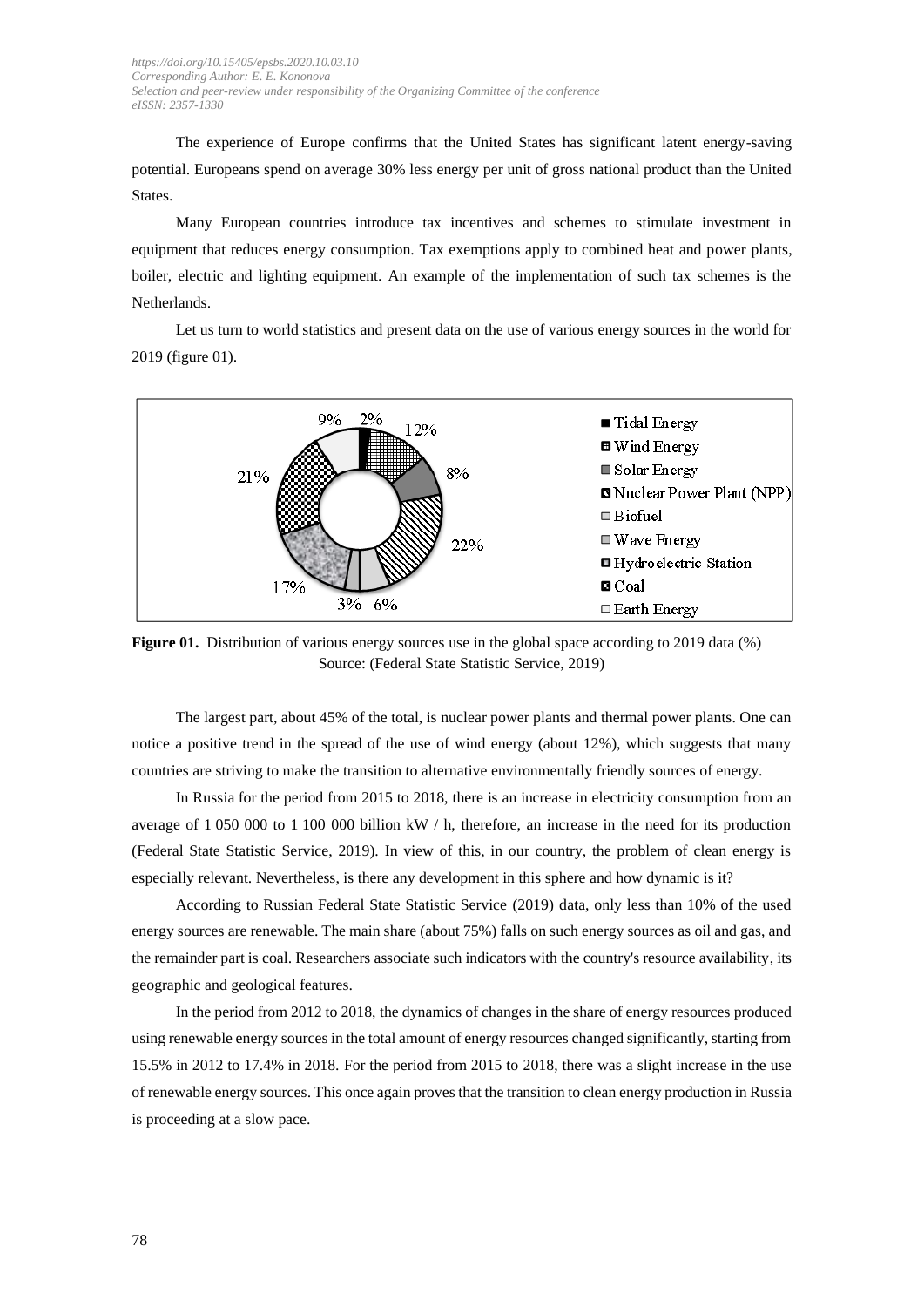The experience of Europe confirms that the United States has significant latent energy-saving potential. Europeans spend on average 30% less energy per unit of gross national product than the United States.

Many European countries introduce tax incentives and schemes to stimulate investment in equipment that reduces energy consumption. Tax exemptions apply to combined heat and power plants, boiler, electric and lighting equipment. An example of the implementation of such tax schemes is the Netherlands.

Let us turn to world statistics and present data on the use of various energy sources in the world for 2019 (figure 01).



**Figure 01.** Distribution of various energy sources use in the global space according to 2019 data (%) Source: (Federal State Statistic Service, 2019)

The largest part, about 45% of the total, is nuclear power plants and thermal power plants. One can notice a positive trend in the spread of the use of wind energy (about 12%), which suggests that many countries are striving to make the transition to alternative environmentally friendly sources of energy.

In Russia for the period from 2015 to 2018, there is an increase in electricity consumption from an average of 1 050 000 to 1 100 000 billion kW / h, therefore, an increase in the need for its production (Federal State Statistic Service, 2019). In view of this, in our country, the problem of clean energy is especially relevant. Nevertheless, is there any development in this sphere and how dynamic is it?

According to Russian Federal State Statistic Service (2019) data, only less than 10% of the used energy sources are renewable. The main share (about 75%) falls on such energy sources as oil and gas, and the remainder part is coal. Researchers associate such indicators with the country's resource availability, its geographic and geological features.

In the period from 2012 to 2018, the dynamics of changes in the share of energy resources produced using renewable energy sources in the total amount of energy resources changed significantly, starting from 15.5% in 2012 to 17.4% in 2018. For the period from 2015 to 2018, there was a slight increase in the use of renewable energy sources. This once again proves that the transition to clean energy production in Russia is proceeding at a slow pace.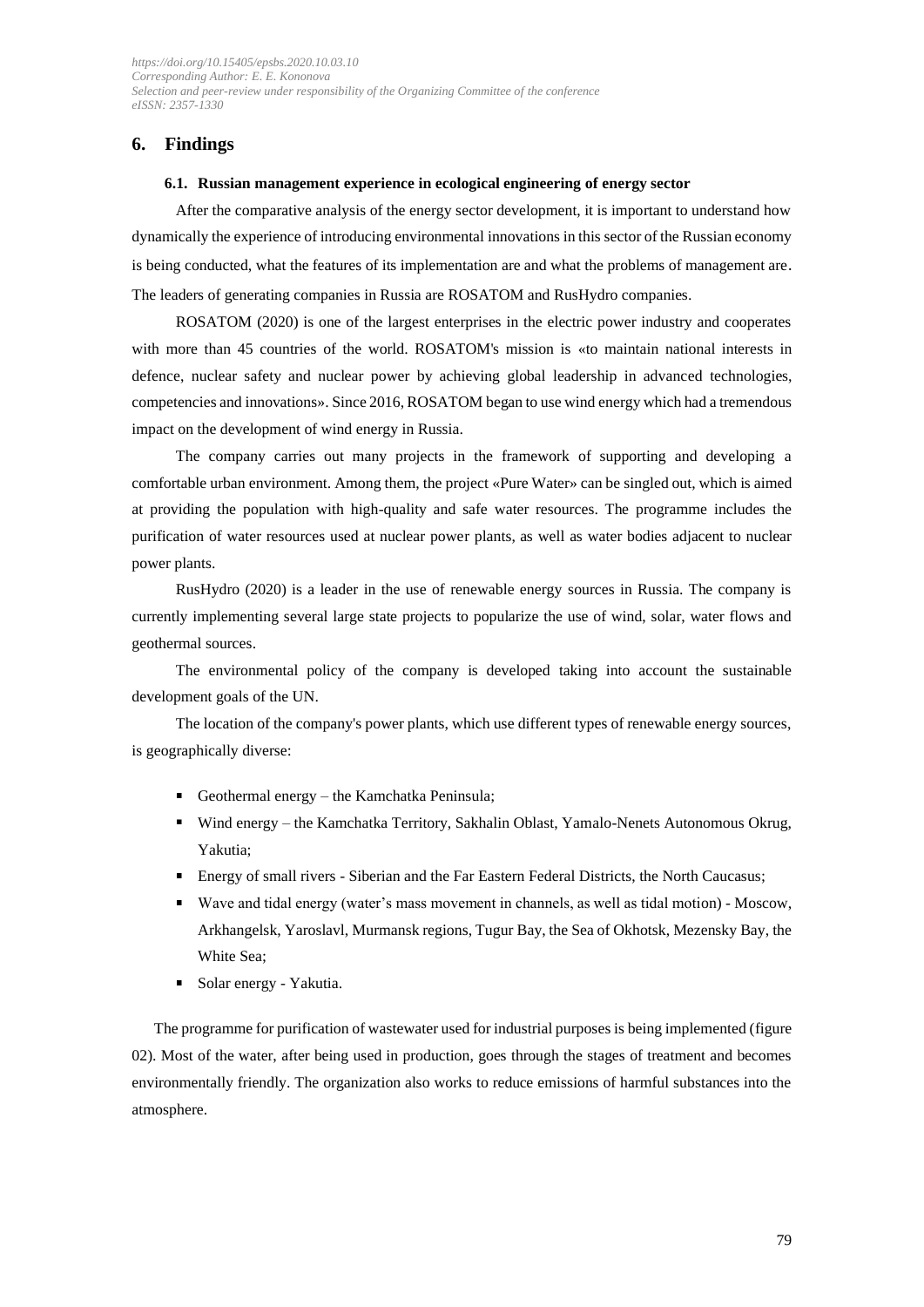## **6. Findings**

### **6.1. Russian management experience in ecological engineering of energy sector**

After the comparative analysis of the energy sector development, it is important to understand how dynamically the experience of introducing environmental innovations in this sector of the Russian economy is being conducted, what the features of its implementation are and what the problems of management are. The leaders of generating companies in Russia are ROSATOM and RusHydro companies.

ROSATOM (2020) is one of the largest enterprises in the electric power industry and cooperates with more than 45 countries of the world. ROSATOM's mission is «to maintain national interests in defence, nuclear safety and nuclear power by achieving global leadership in advanced technologies, competencies and innovations». Since 2016, ROSATOM began to use wind energy which had a tremendous impact on the development of wind energy in Russia.

The company carries out many projects in the framework of supporting and developing a comfortable urban environment. Among them, the project «Pure Water» can be singled out, which is aimed at providing the population with high-quality and safe water resources. The programme includes the purification of water resources used at nuclear power plants, as well as water bodies adjacent to nuclear power plants.

RusHydro (2020) is a leader in the use of renewable energy sources in Russia. The company is currently implementing several large state projects to popularize the use of wind, solar, water flows and geothermal sources.

The environmental policy of the company is developed taking into account the sustainable development goals of the UN.

The location of the company's power plants, which use different types of renewable energy sources, is geographically diverse:

- Geothermal energy the Kamchatka Peninsula:
- Wind energy the Kamchatka Territory, Sakhalin Oblast, Yamalo-Nenets Autonomous Okrug, Yakutia;
- Energy of small rivers Siberian and the Far Eastern Federal Districts, the North Caucasus;
- Wave and tidal energy (water's mass movement in channels, as well as tidal motion) Moscow, Arkhangelsk, Yaroslavl, Murmansk regions, Tugur Bay, the Sea of Okhotsk, Mezensky Bay, the White Sea;
- Solar energy Yakutia.

The programme for purification of wastewater used for industrial purposes is being implemented (figure 02). Most of the water, after being used in production, goes through the stages of treatment and becomes environmentally friendly. The organization also works to reduce emissions of harmful substances into the atmosphere.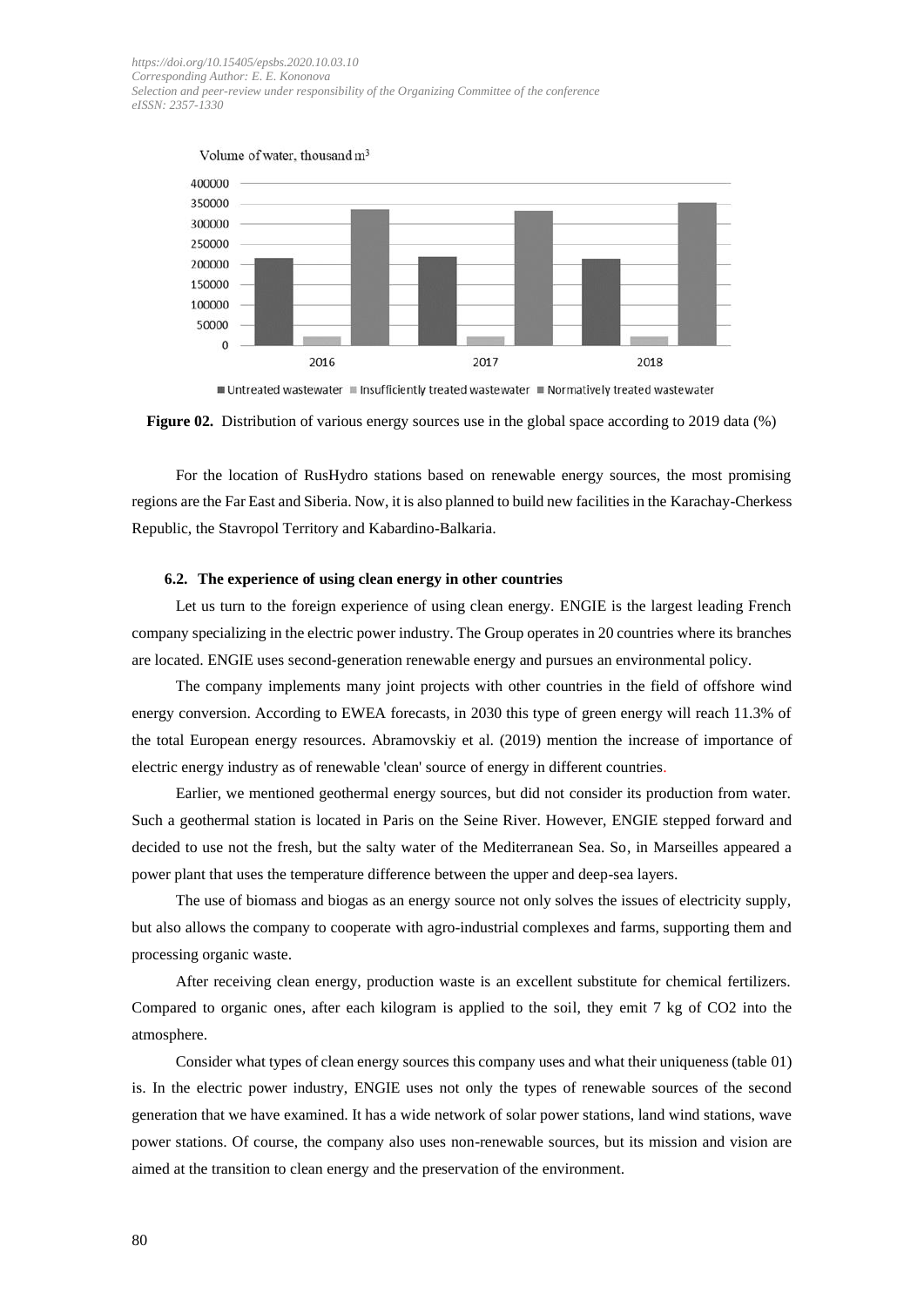

■ Untreated wastewater ■ Insufficiently treated wastewater ■ Normatively treated wastewater



For the location of RusHydro stations based on renewable energy sources, the most promising regions are the Far East and Siberia. Now, it is also planned to build new facilities in the Karachay-Cherkess Republic, the Stavropol Territory and Kabardino-Balkaria.

#### **6.2. The experience of using clean energy in other countries**

Let us turn to the foreign experience of using clean energy. ENGIE is the largest leading French company specializing in the electric power industry. The Group operates in 20 countries where its branches are located. ENGIE uses second-generation renewable energy and pursues an environmental policy.

The company implements many joint projects with other countries in the field of offshore wind energy conversion. According to EWEA forecasts, in 2030 this type of green energy will reach 11.3% of the total European energy resources. Abramovskiy et al. (2019) mention the increase of importance of electric energy industry as of renewable 'clean' source of energy in different countries.

Earlier, we mentioned geothermal energy sources, but did not consider its production from water. Such a geothermal station is located in Paris on the Seine River. However, ENGIE stepped forward and decided to use not the fresh, but the salty water of the Mediterranean Sea. So, in Marseilles appeared a power plant that uses the temperature difference between the upper and deep-sea layers.

The use of biomass and biogas as an energy source not only solves the issues of electricity supply, but also allows the company to cooperate with agro-industrial complexes and farms, supporting them and processing organic waste.

After receiving clean energy, production waste is an excellent substitute for chemical fertilizers. Compared to organic ones, after each kilogram is applied to the soil, they emit 7 kg of CO2 into the atmosphere.

Consider what types of clean energy sources this company uses and what their uniqueness (table 01) is. In the electric power industry, ENGIE uses not only the types of renewable sources of the second generation that we have examined. It has a wide network of solar power stations, land wind stations, wave power stations. Of course, the company also uses non-renewable sources, but its mission and vision are aimed at the transition to clean energy and the preservation of the environment.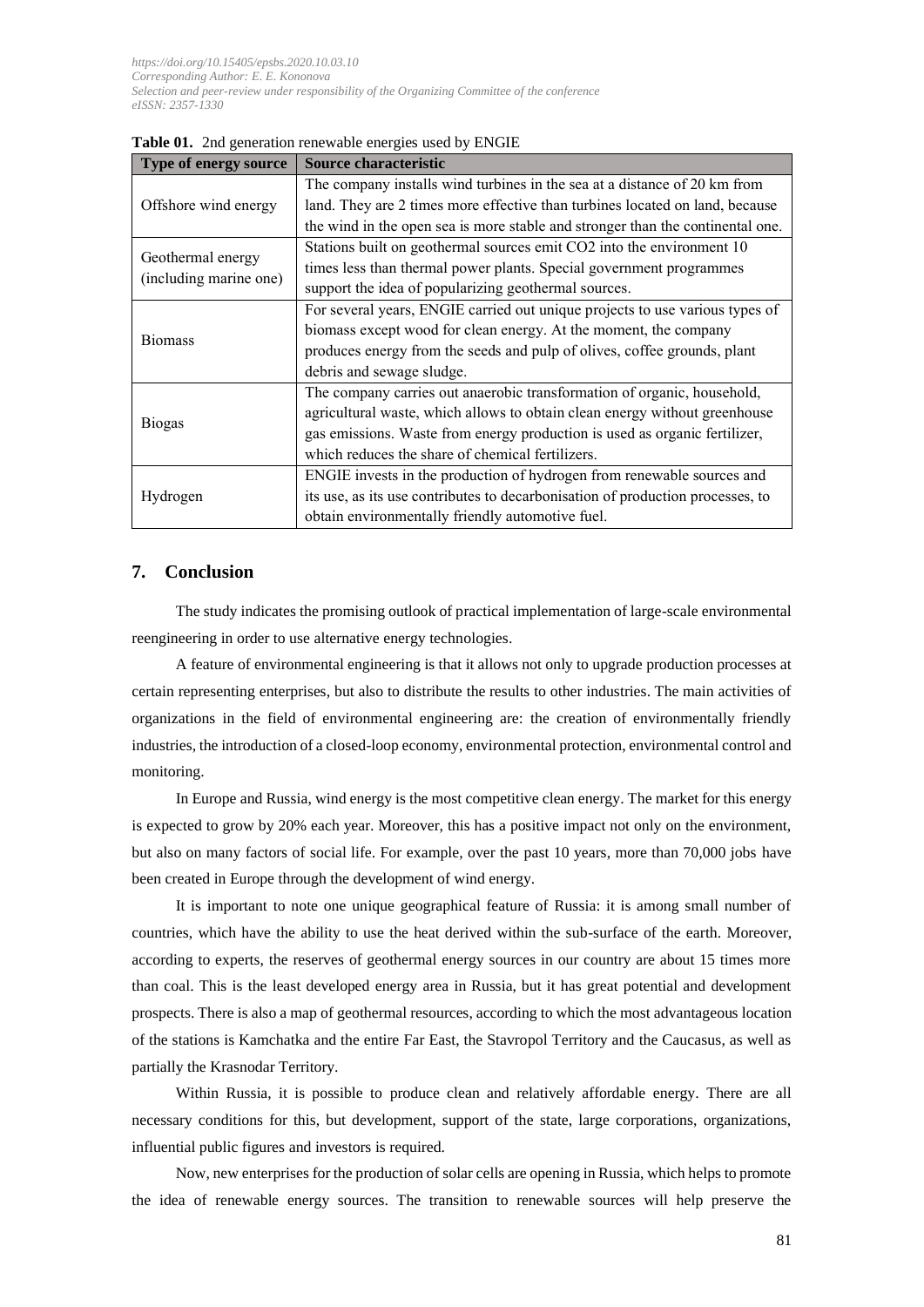| Type of energy source                       | Source characteristic                                                          |
|---------------------------------------------|--------------------------------------------------------------------------------|
| Offshore wind energy                        | The company installs wind turbines in the sea at a distance of 20 km from      |
|                                             | land. They are 2 times more effective than turbines located on land, because   |
|                                             | the wind in the open sea is more stable and stronger than the continental one. |
| Geothermal energy<br>(including marine one) | Stations built on geothermal sources emit CO2 into the environment 10          |
|                                             | times less than thermal power plants. Special government programmes            |
|                                             | support the idea of popularizing geothermal sources.                           |
| <b>Biomass</b>                              | For several years, ENGIE carried out unique projects to use various types of   |
|                                             | biomass except wood for clean energy. At the moment, the company               |
|                                             | produces energy from the seeds and pulp of olives, coffee grounds, plant       |
|                                             | debris and sewage sludge.                                                      |
| <b>Biogas</b>                               | The company carries out anaerobic transformation of organic, household,        |
|                                             | agricultural waste, which allows to obtain clean energy without greenhouse     |
|                                             | gas emissions. Waste from energy production is used as organic fertilizer,     |
|                                             | which reduces the share of chemical fertilizers.                               |
| Hydrogen                                    | ENGIE invests in the production of hydrogen from renewable sources and         |
|                                             | its use, as its use contributes to decarbonisation of production processes, to |
|                                             | obtain environmentally friendly automotive fuel.                               |

**Table 01.** 2nd generation renewable energies used by ENGIE

## **7. Conclusion**

The study indicates the promising outlook of practical implementation of large-scale environmental reengineering in order to use alternative energy technologies.

A feature of environmental engineering is that it allows not only to upgrade production processes at certain representing enterprises, but also to distribute the results to other industries. The main activities of organizations in the field of environmental engineering are: the creation of environmentally friendly industries, the introduction of a closed-loop economy, environmental protection, environmental control and monitoring.

In Europe and Russia, wind energy is the most competitive clean energy. The market for this energy is expected to grow by 20% each year. Moreover, this has a positive impact not only on the environment, but also on many factors of social life. For example, over the past 10 years, more than 70,000 jobs have been created in Europe through the development of wind energy.

It is important to note one unique geographical feature of Russia: it is among small number of countries, which have the ability to use the heat derived within the sub-surface of the earth. Moreover, according to experts, the reserves of geothermal energy sources in our country are about 15 times more than coal. This is the least developed energy area in Russia, but it has great potential and development prospects. There is also a map of geothermal resources, according to which the most advantageous location of the stations is Kamchatka and the entire Far East, the Stavropol Territory and the Caucasus, as well as partially the Krasnodar Territory.

Within Russia, it is possible to produce clean and relatively affordable energy. There are all necessary conditions for this, but development, support of the state, large corporations, organizations, influential public figures and investors is required.

Now, new enterprises for the production of solar cells are opening in Russia, which helps to promote the idea of renewable energy sources. The transition to renewable sources will help preserve the